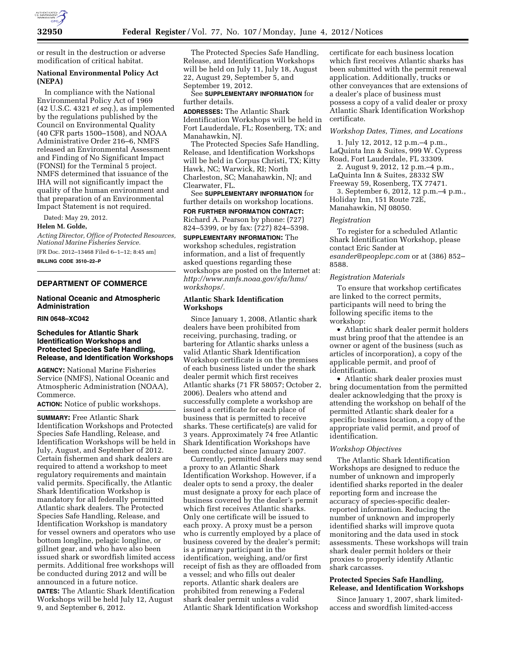

or result in the destruction or adverse modification of critical habitat.

## **National Environmental Policy Act (NEPA)**

In compliance with the National Environmental Policy Act of 1969 (42 U.S.C. 4321 *et seq.*), as implemented by the regulations published by the Council on Environmental Quality (40 CFR parts 1500–1508), and NOAA Administrative Order 216–6, NMFS released an Environmental Assessment and Finding of No Significant Impact (FONSI) for the Terminal 5 project. NMFS determined that issuance of the IHA will not significantly impact the quality of the human environment and that preparation of an Environmental Impact Statement is not required.

Dated: May 29, 2012.

### **Helen M. Golde,**

*Acting Director, Office of Protected Resources, National Marine Fisheries Service.*  [FR Doc. 2012–13468 Filed 6–1–12; 8:45 am] **BILLING CODE 3510–22–P** 

# **DEPARTMENT OF COMMERCE**

# **National Oceanic and Atmospheric Administration**

# **RIN 0648–XC042**

### **Schedules for Atlantic Shark Identification Workshops and Protected Species Safe Handling, Release, and Identification Workshops**

**AGENCY:** National Marine Fisheries Service (NMFS), National Oceanic and Atmospheric Administration (NOAA), Commerce.

**ACTION:** Notice of public workshops.

**SUMMARY:** Free Atlantic Shark Identification Workshops and Protected Species Safe Handling, Release, and Identification Workshops will be held in July, August, and September of 2012. Certain fishermen and shark dealers are required to attend a workshop to meet regulatory requirements and maintain valid permits. Specifically, the Atlantic Shark Identification Workshop is mandatory for all federally permitted Atlantic shark dealers. The Protected Species Safe Handling, Release, and Identification Workshop is mandatory for vessel owners and operators who use bottom longline, pelagic longline, or gillnet gear, and who have also been issued shark or swordfish limited access permits. Additional free workshops will be conducted during 2012 and will be announced in a future notice.

**DATES:** The Atlantic Shark Identification Workshops will be held July 12, August 9, and September 6, 2012.

The Protected Species Safe Handling, Release, and Identification Workshops will be held on July 11, July 18, August 22, August 29, September 5, and September 19, 2012.

See **SUPPLEMENTARY INFORMATION** for further details.

**ADDRESSES:** The Atlantic Shark Identification Workshops will be held in Fort Lauderdale, FL; Rosenberg, TX; and Manahawkin, NJ.

The Protected Species Safe Handling, Release, and Identification Workshops will be held in Corpus Christi, TX; Kitty Hawk, NC; Warwick, RI; North Charleston, SC; Manahawkin, NJ; and Clearwater, FL.

See **SUPPLEMENTARY INFORMATION** for further details on workshop locations. **FOR FURTHER INFORMATION CONTACT:**  Richard A. Pearson by phone: (727)

824–5399, or by fax: (727) 824–5398. **SUPPLEMENTARY INFORMATION:** The

workshop schedules, registration information, and a list of frequently asked questions regarding these workshops are posted on the Internet at: *[http://www.nmfs.noaa.gov/sfa/hms/](http://www.nmfs.noaa.gov/sfa/hms/workshops/)  [workshops/.](http://www.nmfs.noaa.gov/sfa/hms/workshops/)* 

# **Atlantic Shark Identification Workshops**

Since January 1, 2008, Atlantic shark dealers have been prohibited from receiving, purchasing, trading, or bartering for Atlantic sharks unless a valid Atlantic Shark Identification Workshop certificate is on the premises of each business listed under the shark dealer permit which first receives Atlantic sharks (71 FR 58057; October 2, 2006). Dealers who attend and successfully complete a workshop are issued a certificate for each place of business that is permitted to receive sharks. These certificate(s) are valid for 3 years. Approximately 74 free Atlantic Shark Identification Workshops have been conducted since January 2007.

Currently, permitted dealers may send a proxy to an Atlantic Shark Identification Workshop. However, if a dealer opts to send a proxy, the dealer must designate a proxy for each place of business covered by the dealer's permit which first receives Atlantic sharks. Only one certificate will be issued to each proxy. A proxy must be a person who is currently employed by a place of business covered by the dealer's permit; is a primary participant in the identification, weighing, and/or first receipt of fish as they are offloaded from a vessel; and who fills out dealer reports. Atlantic shark dealers are prohibited from renewing a Federal shark dealer permit unless a valid Atlantic Shark Identification Workshop

certificate for each business location which first receives Atlantic sharks has been submitted with the permit renewal application. Additionally, trucks or other conveyances that are extensions of a dealer's place of business must possess a copy of a valid dealer or proxy Atlantic Shark Identification Workshop certificate.

### *Workshop Dates, Times, and Locations*

1. July 12, 2012, 12 p.m.–4 p.m., LaQuinta Inn & Suites, 999 W. Cypress Road, Fort Lauderdale, FL 33309.

2. August 9, 2012, 12 p.m.–4 p.m., LaQuinta Inn & Suites, 28332 SW Freeway 59, Rosenberg, TX 77471.

3. September 6, 2012, 12 p.m.–4 p.m., Holiday Inn, 151 Route 72E, Manahawkin, NJ 08050.

#### *Registration*

To register for a scheduled Atlantic Shark Identification Workshop, please contact Eric Sander at *[esander@peoplepc.com](mailto:esander@peoplepc.com)* or at (386) 852– 8588.

#### *Registration Materials*

To ensure that workshop certificates are linked to the correct permits, participants will need to bring the following specific items to the workshop:

• Atlantic shark dealer permit holders must bring proof that the attendee is an owner or agent of the business (such as articles of incorporation), a copy of the applicable permit, and proof of identification.

• Atlantic shark dealer proxies must bring documentation from the permitted dealer acknowledging that the proxy is attending the workshop on behalf of the permitted Atlantic shark dealer for a specific business location, a copy of the appropriate valid permit, and proof of identification.

# *Workshop Objectives*

The Atlantic Shark Identification Workshops are designed to reduce the number of unknown and improperly identified sharks reported in the dealer reporting form and increase the accuracy of species-specific dealerreported information. Reducing the number of unknown and improperly identified sharks will improve quota monitoring and the data used in stock assessments. These workshops will train shark dealer permit holders or their proxies to properly identify Atlantic shark carcasses.

## **Protected Species Safe Handling, Release, and Identification Workshops**

Since January 1, 2007, shark limitedaccess and swordfish limited-access